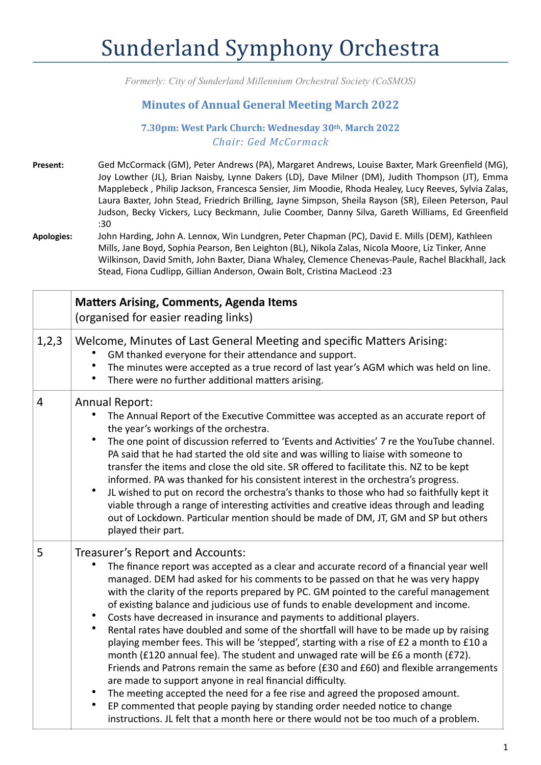## Sunderland Symphony Orchestra

*Formerly: City of Sunderland Millennium Orchestral Society (CoSMOS)*

## **Minutes of Annual General Meeting March 2022**

## **7.30pm: West Park Church: Wednesday 30th. March 2022** *Chair: Ged McCormack*

- Present: Ged McCormack (GM), Peter Andrews (PA), Margaret Andrews, Louise Baxter, Mark Greenfield (MG), Joy Lowther (JL), Brian Naisby, Lynne Dakers (LD), Dave Milner (DM), Judith Thompson (JT), Emma Mapplebeck, Philip Jackson, Francesca Sensier, Jim Moodie, Rhoda Healey, Lucy Reeves, Sylvia Zalas, Laura Baxter, John Stead, Friedrich Brilling, Jayne Simpson, Sheila Rayson (SR), Eileen Peterson, Paul Judson, Becky Vickers, Lucy Beckmann, Julie Coomber, Danny Silva, Gareth Williams, Ed Greenfield :30
- Apologies: John Harding, John A. Lennox, Win Lundgren, Peter Chapman (PC), David E. Mills (DEM), Kathleen Mills, Jane Boyd, Sophia Pearson, Ben Leighton (BL), Nikola Zalas, Nicola Moore, Liz Tinker, Anne Wilkinson, David Smith, John Baxter, Diana Whaley, Clemence Chenevas-Paule, Rachel Blackhall, Jack Stead, Fiona Cudlipp, Gillian Anderson, Owain Bolt, Cristina MacLeod :23

|         | <b>Matters Arising, Comments, Agenda Items</b><br>(organised for easier reading links)                                                                                                                                                                                                                                                                                                                                                                                                                                                                                                                                                                                                                                                                                                                                                                                                                                                                                                                                                                                                                                                                                                       |
|---------|----------------------------------------------------------------------------------------------------------------------------------------------------------------------------------------------------------------------------------------------------------------------------------------------------------------------------------------------------------------------------------------------------------------------------------------------------------------------------------------------------------------------------------------------------------------------------------------------------------------------------------------------------------------------------------------------------------------------------------------------------------------------------------------------------------------------------------------------------------------------------------------------------------------------------------------------------------------------------------------------------------------------------------------------------------------------------------------------------------------------------------------------------------------------------------------------|
| 1, 2, 3 | Welcome, Minutes of Last General Meeting and specific Matters Arising:<br>GM thanked everyone for their attendance and support.<br>The minutes were accepted as a true record of last year's AGM which was held on line.<br>There were no further additional matters arising.                                                                                                                                                                                                                                                                                                                                                                                                                                                                                                                                                                                                                                                                                                                                                                                                                                                                                                                |
| 4       | <b>Annual Report:</b><br>The Annual Report of the Executive Committee was accepted as an accurate report of<br>the year's workings of the orchestra.<br>The one point of discussion referred to 'Events and Activities' 7 re the YouTube channel.<br>PA said that he had started the old site and was willing to liaise with someone to<br>transfer the items and close the old site. SR offered to facilitate this. NZ to be kept<br>informed. PA was thanked for his consistent interest in the orchestra's progress.<br>JL wished to put on record the orchestra's thanks to those who had so faithfully kept it<br>viable through a range of interesting activities and creative ideas through and leading<br>out of Lockdown. Particular mention should be made of DM, JT, GM and SP but others<br>played their part.                                                                                                                                                                                                                                                                                                                                                                   |
| 5       | Treasurer's Report and Accounts:<br>The finance report was accepted as a clear and accurate record of a financial year well<br>managed. DEM had asked for his comments to be passed on that he was very happy<br>with the clarity of the reports prepared by PC. GM pointed to the careful management<br>of existing balance and judicious use of funds to enable development and income.<br>Costs have decreased in insurance and payments to additional players.<br>$\bullet$<br>$\bullet$<br>Rental rates have doubled and some of the shortfall will have to be made up by raising<br>playing member fees. This will be 'stepped', starting with a rise of £2 a month to £10 a<br>month (£120 annual fee). The student and unwaged rate will be £6 a month (£72).<br>Friends and Patrons remain the same as before (£30 and £60) and flexible arrangements<br>are made to support anyone in real financial difficulty.<br>The meeting accepted the need for a fee rise and agreed the proposed amount.<br>$\bullet$<br>EP commented that people paying by standing order needed notice to change<br>instructions. JL felt that a month here or there would not be too much of a problem. |